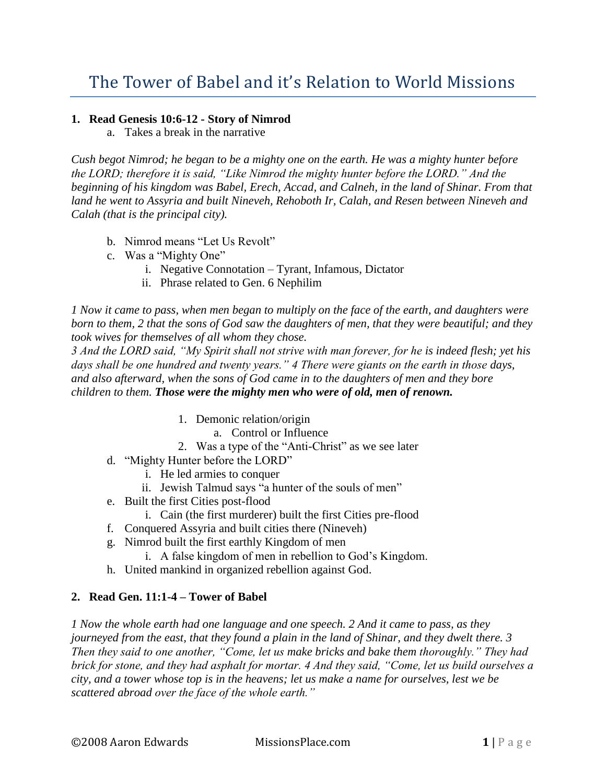## **1. Read Genesis 10:6-12 - Story of Nimrod**

a. Takes a break in the narrative

*Cush begot Nimrod; he began to be a mighty one on the earth. He was a mighty hunter before the LORD; therefore it is said, "Like Nimrod the mighty hunter before the LORD." And the beginning of his kingdom was Babel, Erech, Accad, and Calneh, in the land of Shinar. From that land he went to Assyria and built Nineveh, Rehoboth Ir, Calah, and Resen between Nineveh and Calah (that is the principal city).* 

- b. Nimrod means "Let Us Revolt"
- c. Was a "Mighty One"
	- i. Negative Connotation Tyrant, Infamous, Dictator
	- ii. Phrase related to Gen. 6 Nephilim

*1 Now it came to pass, when men began to multiply on the face of the earth, and daughters were born to them, 2 that the sons of God saw the daughters of men, that they were beautiful; and they took wives for themselves of all whom they chose.*

*3 And the LORD said, "My Spirit shall not strive with man forever, for he is indeed flesh; yet his days shall be one hundred and twenty years." 4 There were giants on the earth in those days, and also afterward, when the sons of God came in to the daughters of men and they bore children to them. Those were the mighty men who were of old, men of renown.*

- 1. Demonic relation/origin
	- a. Control or Influence
- 2. Was a type of the "Anti-Christ" as we see later
- d. "Mighty Hunter before the LORD"
	- i. He led armies to conquer
	- ii. Jewish Talmud says "a hunter of the souls of men"
- e. Built the first Cities post-flood
	- i. Cain (the first murderer) built the first Cities pre-flood
- f. Conquered Assyria and built cities there (Nineveh)
- g. Nimrod built the first earthly Kingdom of men
	- i. A false kingdom of men in rebellion to God's Kingdom.
- h. United mankind in organized rebellion against God.

## **2. Read Gen. 11:1-4 – Tower of Babel**

*1 Now the whole earth had one language and one speech. 2 And it came to pass, as they journeyed from the east, that they found a plain in the land of Shinar, and they dwelt there. 3 Then they said to one another, "Come, let us make bricks and bake them thoroughly." They had brick for stone, and they had asphalt for mortar. 4 And they said, "Come, let us build ourselves a city, and a tower whose top is in the heavens; let us make a name for ourselves, lest we be scattered abroad over the face of the whole earth."*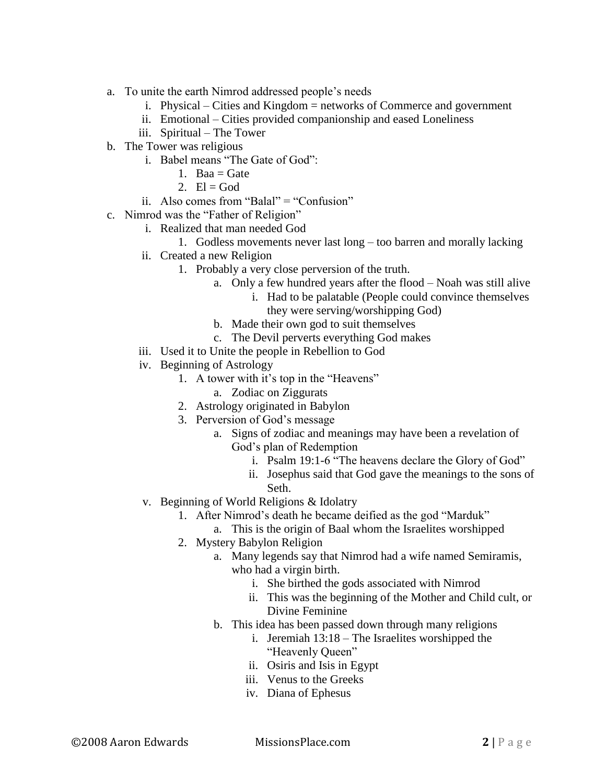- a. To unite the earth Nimrod addressed people's needs
	- i. Physical Cities and Kingdom = networks of Commerce and government
	- ii. Emotional Cities provided companionship and eased Loneliness
	- iii. Spiritual The Tower
- b. The Tower was religious
	- i. Babel means "The Gate of God":
		- 1. Baa  $=$  Gate
		- 2.  $El = God$
	- ii. Also comes from "Balal" = "Confusion"
- c. Nimrod was the "Father of Religion"
	- i. Realized that man needed God
		- 1. Godless movements never last long too barren and morally lacking
	- ii. Created a new Religion
		- 1. Probably a very close perversion of the truth.
			- a. Only a few hundred years after the flood Noah was still alive
				- i. Had to be palatable (People could convince themselves they were serving/worshipping God)
			- b. Made their own god to suit themselves
			- c. The Devil perverts everything God makes
	- iii. Used it to Unite the people in Rebellion to God
	- iv. Beginning of Astrology
		- 1. A tower with it's top in the "Heavens"
			- a. Zodiac on Ziggurats
		- 2. Astrology originated in Babylon
		- 3. Perversion of God's message
			- a. Signs of zodiac and meanings may have been a revelation of God's plan of Redemption
				- i. Psalm 19:1-6 "The heavens declare the Glory of God"
				- ii. Josephus said that God gave the meanings to the sons of Seth.
	- v. Beginning of World Religions & Idolatry
		- 1. After Nimrod's death he became deified as the god "Marduk"
			- a. This is the origin of Baal whom the Israelites worshipped
		- 2. Mystery Babylon Religion
			- a. Many legends say that Nimrod had a wife named Semiramis, who had a virgin birth.
				- i. She birthed the gods associated with Nimrod
				- ii. This was the beginning of the Mother and Child cult, or Divine Feminine
			- b. This idea has been passed down through many religions
				- i. Jeremiah 13:18 The Israelites worshipped the "Heavenly Queen"
				- ii. Osiris and Isis in Egypt
				- iii. Venus to the Greeks
				- iv. Diana of Ephesus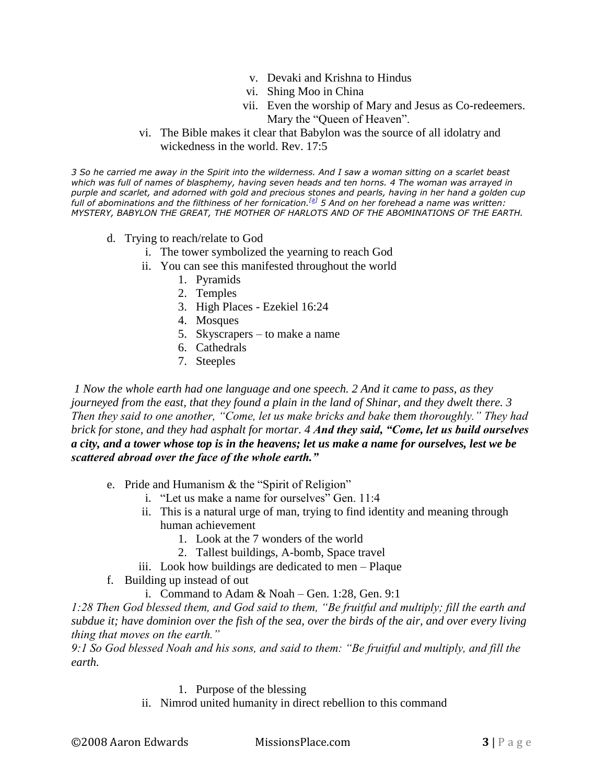- v. Devaki and Krishna to Hindus
- vi. Shing Moo in China
- vii. Even the worship of Mary and Jesus as Co-redeemers. Mary the "Queen of Heaven".
- vi. The Bible makes it clear that Babylon was the source of all idolatry and wickedness in the world. Rev. 17:5

*3 So he carried me away in the Spirit into the wilderness. And I saw a woman sitting on a scarlet beast which was full of names of blasphemy, having seven heads and ten horns. 4 The woman was arrayed in purple and scarlet, and adorned with gold and precious stones and pearls, having in her hand a golden cup full of abominations and the filthiness of her fornication.[\[a\]](http://www.biblegateway.com/passage/?search=Rev.%2017:2-8;Gen.%209:1;&version=50;#fen-NKJV-30974a#fen-NKJV-30974a) 5 And on her forehead a name was written: MYSTERY, BABYLON THE GREAT, THE MOTHER OF HARLOTS AND OF THE ABOMINATIONS OF THE EARTH.*

- d. Trying to reach/relate to God
	- i. The tower symbolized the yearning to reach God
	- ii. You can see this manifested throughout the world
		- 1. Pyramids
		- 2. Temples
		- 3. High Places Ezekiel 16:24
		- 4. Mosques
		- 5. Skyscrapers to make a name
		- 6. Cathedrals
		- 7. Steeples

*1 Now the whole earth had one language and one speech. 2 And it came to pass, as they journeyed from the east, that they found a plain in the land of Shinar, and they dwelt there. 3 Then they said to one another, "Come, let us make bricks and bake them thoroughly." They had brick for stone, and they had asphalt for mortar. 4 And they said, "Come, let us build ourselves a city, and a tower whose top is in the heavens; let us make a name for ourselves, lest we be scattered abroad over the face of the whole earth."* 

- e. Pride and Humanism & the "Spirit of Religion"
	- i. "Let us make a name for ourselves" Gen. 11:4
	- ii. This is a natural urge of man, trying to find identity and meaning through human achievement
		- 1. Look at the 7 wonders of the world
		- 2. Tallest buildings, A-bomb, Space travel
	- iii. Look how buildings are dedicated to men Plaque
- f. Building up instead of out
	- i. Command to Adam  $& Noah Gen. 1:28$ , Gen. 9:1

*1:28 Then God blessed them, and God said to them, "Be fruitful and multiply; fill the earth and subdue it; have dominion over the fish of the sea, over the birds of the air, and over every living thing that moves on the earth."* 

*9:1 So God blessed Noah and his sons, and said to them: "Be fruitful and multiply, and fill the earth.*

## 1. Purpose of the blessing

ii. Nimrod united humanity in direct rebellion to this command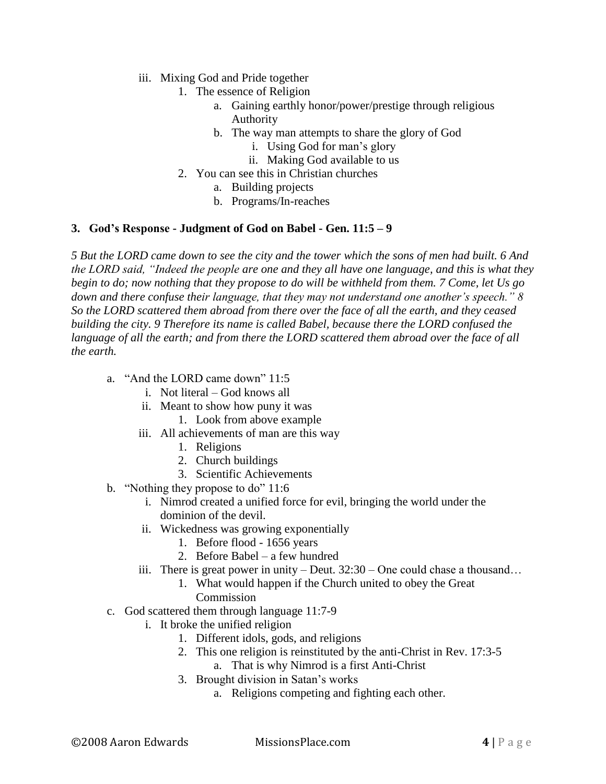- iii. Mixing God and Pride together
	- 1. The essence of Religion
		- a. Gaining earthly honor/power/prestige through religious Authority
		- b. The way man attempts to share the glory of God
			- i. Using God for man's glory
			- ii. Making God available to us
	- 2. You can see this in Christian churches
		- a. Building projects
		- b. Programs/In-reaches

## **3. God's Response - Judgment of God on Babel - Gen. 11:5 – 9**

*5 But the LORD came down to see the city and the tower which the sons of men had built. 6 And the LORD said, "Indeed the people are one and they all have one language, and this is what they begin to do; now nothing that they propose to do will be withheld from them. 7 Come, let Us go down and there confuse their language, that they may not understand one another's speech." 8 So the LORD scattered them abroad from there over the face of all the earth, and they ceased building the city. 9 Therefore its name is called Babel, because there the LORD confused the*  language of all the earth; and from there the LORD scattered them abroad over the face of all *the earth.*

- a. "And the LORD came down" 11:5
	- i. Not literal God knows all
	- ii. Meant to show how puny it was
		- 1. Look from above example
	- iii. All achievements of man are this way
		- 1. Religions
		- 2. Church buildings
		- 3. Scientific Achievements
- b. "Nothing they propose to do" 11:6
	- i. Nimrod created a unified force for evil, bringing the world under the dominion of the devil.
	- ii. Wickedness was growing exponentially
		- 1. Before flood 1656 years
		- 2. Before Babel a few hundred
	- iii. There is great power in unity Deut. 32:30 One could chase a thousand…
		- 1. What would happen if the Church united to obey the Great Commission
- c. God scattered them through language 11:7-9
	- i. It broke the unified religion
		- 1. Different idols, gods, and religions
		- 2. This one religion is reinstituted by the anti-Christ in Rev. 17:3-5 a. That is why Nimrod is a first Anti-Christ
		- 3. Brought division in Satan's works
			- a. Religions competing and fighting each other.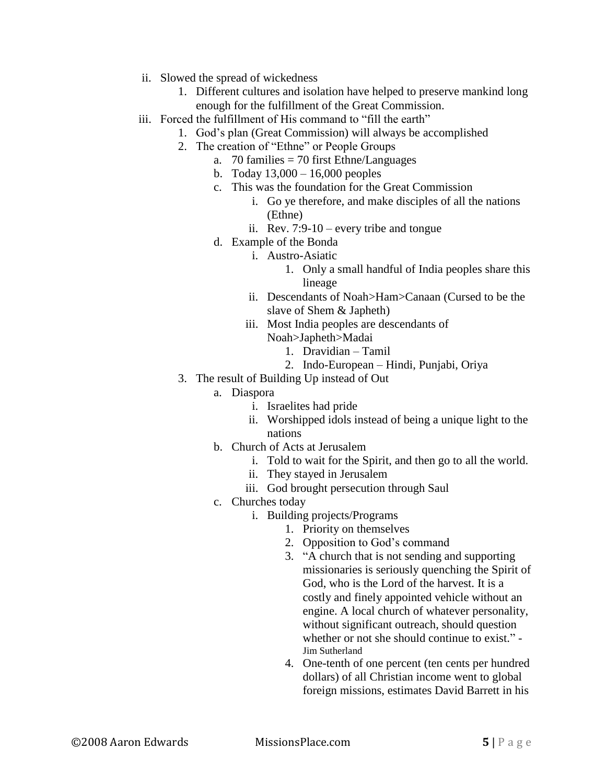- ii. Slowed the spread of wickedness
	- 1. Different cultures and isolation have helped to preserve mankind long enough for the fulfillment of the Great Commission.
- iii. Forced the fulfillment of His command to "fill the earth"
	- 1. God's plan (Great Commission) will always be accomplished
	- 2. The creation of "Ethne" or People Groups
		- a. 70 families = 70 first Ethne/Languages
		- b. Today 13,000 16,000 peoples
		- c. This was the foundation for the Great Commission
			- i. Go ye therefore, and make disciples of all the nations (Ethne)
			- ii. Rev. 7:9-10 every tribe and tongue
		- d. Example of the Bonda
			- i. Austro-Asiatic
				- 1. Only a small handful of India peoples share this lineage
			- ii. Descendants of Noah>Ham>Canaan (Cursed to be the slave of Shem & Japheth)
			- iii. Most India peoples are descendants of Noah>Japheth>Madai
				- 1. Dravidian Tamil
				- 2. Indo-European Hindi, Punjabi, Oriya
	- 3. The result of Building Up instead of Out
		- a. Diaspora
			- i. Israelites had pride
			- ii. Worshipped idols instead of being a unique light to the nations
		- b. Church of Acts at Jerusalem
			- i. Told to wait for the Spirit, and then go to all the world.
			- ii. They stayed in Jerusalem
			- iii. God brought persecution through Saul
		- c. Churches today
			- i. Building projects/Programs
				- 1. Priority on themselves
				- 2. Opposition to God's command
				- 3. "A church that is not sending and supporting missionaries is seriously quenching the Spirit of God, who is the Lord of the harvest. It is a costly and finely appointed vehicle without an engine. A local church of whatever personality, without significant outreach, should question whether or not she should continue to exist." - Jim Sutherland
				- 4. One-tenth of one percent (ten cents per hundred dollars) of all Christian income went to global foreign missions, estimates David Barrett in his